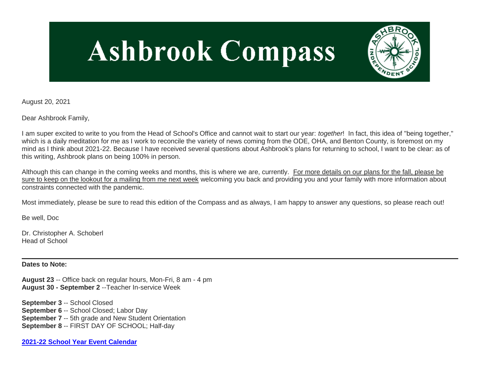# **Ashbrook Compass**



August 20, 2021

Dear Ashbrook Family,

I am super excited to write to you from the Head of School's Office and cannot wait to start our year: *together*! In fact, this idea of "being together," which is a daily meditation for me as I work to reconcile the variety of news coming from the ODE, OHA, and Benton County, is foremost on my mind as I think about 2021-22. Because I have received several questions about Ashbrook's plans for returning to school, I want to be clear: as of this writing, Ashbrook plans on being 100% in person.

Although this can change in the coming weeks and months, this is where we are, currently. For more details on our plans for the fall, please be sure to keep on the lookout for a mailing from me next week welcoming you back and providing you and your family with more information about constraints connected with the pandemic.

Most immediately, please be sure to read this edition of the Compass and as always, I am happy to answer any questions, so please reach out!

Be well, Doc

Dr. Christopher A. Schoberl Head of School

**Dates to Note:**

**August 23** -- Office back on regular hours, Mon-Fri, 8 am - 4 pm **August 30 - September 2** --Teacher In-service Week

**September 3** -- School Closed **September 6** -- School Closed; Labor Day **September 7** -- 5th grade and New Student Orientation **September 8** -- FIRST DAY OF SCHOOL; Half-day

**[2021-22 School Year Event Calendar](http://link.mystudentsprogress.com/ls/click?upn=t3AI3kjK1Pyk9qPfHnOahelBVVSIlRAa3GeSLMbkINmgHr3guxrPuqfp-2Bh-2FJW4nCZ4g8Gi3XkGXC-2FKATZbsSvlLtGaxynoxi8rg7wuoRjJ9ogb5HbX999Eip-2FZE6wLdBt-2FZXHJBS6zquMLtzN9wyAf-2BwWQPV3rI3lDDknuQ1JHMBzJ8gUYT-2F7YzNEwZY9IsL01sHprQ-2FIDOi-2FxvxQxcWetx3uPiVsOO-2BTqPctwW7ytf9RkxC1x3UjTIEBtRaqxRocHrr-2BmciBR4-2BJ-2F9FRK9RIbCVijz3zpNIIcd4PIsUMddSSVNBf6Erlmv-2BHBcLMpY-2BXATDQ1ruaOReFDZmWYSBv8U-2FG-2FKOr0yEkAwqSdMzdcQ3gq4Z79RZNOTZP4nGap5-2B4nzc4nIf29OyD3NhvJHQaLkc85sE-2FfYbPaGyyk6H2FOzJRYThJmT37US6LpTrGNlh9HxVTLYe1LpjcNTBXNJsSKlp-2BAa-2BVuGTdE8v33fTt9-2BgR-2BE9tSlDPzhNHxWPZ2RZ535aLRz3SoCCiPZR3EABfh4FMKDRC4z2q-2Bvjvbtim7SOD4kDD2r5XYSDBe4a3bcI5fNds6iRAQWmj3uDnwn3-2B3tKuGNT1JKaRpJXKTgGLzWZLAnNUo4fvdQC77H83vaK-2BM8PCeLuljt-2FRAsnx0cP-2FGdRouESOyMOB5ORkT-2BH-2Bkw4hRRiiTCpe61BsZqpA-2ButZ8o_1PndbFfBoQGSZbxwXHHEexw3B2F0fG-2BUmuXm6a-2BX-2BztZuKqV1A6NiUYW1EELn3HaP-2BDyplHLvTRujpRHGihaRE7U5yxEScTT5C1wW4DiQbm-2FQ1uXaDhmvj4KRMaMp1w3OKUOXil8c-2Fy3H2pn5-2BgSFds0l0WcRfUkQaahLWdxpX6OWa2wk3-2FPMjE5sMn-2BXzYoGab6LNIkSk5-2FZyg723I6ShNymBs7Dvqgq9OmBYEPImgx5B9pgedTTxrBqgsfbn3PW6aDcIRmc8MxudjOl30IK0IrU5JbNeSWHEiDnd6jLo8HHKaPQM-2Bq6R1e71J-2Bzfh6bNMtHAqstcrTdHge755MPssTQ6ofu-2Faef0rtFAZgxHfB-2FU0SB3RLT2aUgGLZgLnMuOwgSL9gF3BW4895L-2B2yFtULntvHIehQMwSKYIqeiBeXHK3zEsHNUReL5JZkHB04)**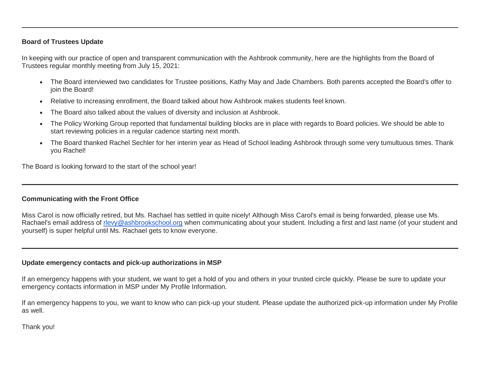### **Board of Trustees Update**

In keeping with our practice of open and transparent communication with the Ashbrook community, here are the highlights from the Board of Trustees regular monthly meeting from July 15, 2021:

- The Board interviewed two candidates for Trustee positions, Kathy May and Jade Chambers. Both parents accepted the Board's offer to join the Board!
- Relative to increasing enrollment, the Board talked about how Ashbrook makes students feel known.
- The Board also talked about the values of diversity and inclusion at Ashbrook.
- The Policy Working Group reported that fundamental building blocks are in place with regards to Board policies. We should be able to start reviewing policies in a regular cadence starting next month.
- The Board thanked Rachel Sechler for her interim year as Head of School leading Ashbrook through some very tumultuous times. Thank you Rachel!

The Board is looking forward to the start of the school year!

## **Communicating with the Front Office**

Miss Carol is now officially retired, but Ms. Rachael has settled in quite nicely! Although Miss Carol's email is being forwarded, please use Ms. Rachael's email address of [rlevy@ashbrookschool.org](mailto:rlevy@ashbrookschool.org) when communicating about your student. Including a first and last name (of your student and yourself) is super helpful until Ms. Rachael gets to know everyone.

### **Update emergency contacts and pick-up authorizations in MSP**

If an emergency happens with your student, we want to get a hold of you and others in your trusted circle quickly. Please be sure to update your emergency contacts information in MSP under My Profile Information.

If an emergency happens to you, we want to know who can pick-up your student. Please update the authorized pick-up information under My Profile as well.

Thank you!